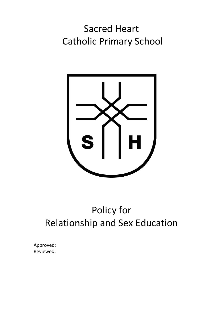## Sacred Heart Catholic Primary School



# Policy for Relationship and Sex Education

Approved: Reviewed: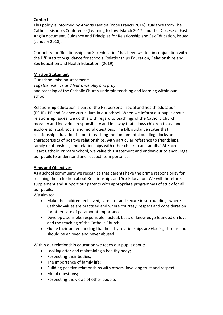## **Context**

This policy is informed by Amoris Laetitia (Pope Francis 2016), guidance from The Catholic Bishop's Conference (Learning to Love March 2017) and the Diocese of East Anglia document, Guidance and Principles for Relationship and Sex Education, issued (January 2018).

Our policy for 'Relationship and Sex Education' has been written in conjunction with the DfE statutory guidance for schools 'Relationships Education, Relationships and Sex Education and Health Education' (2019).

#### **Mission Statement**

Our school mission statement: *Together we live and learn; we play and pray* and teaching of the Catholic Church underpin teaching and learning within our school.

Relationship education is part of the RE, personal, social and health education (PSHE), PE and Science curriculum in our school. When we inform our pupils about relationship issues, we do this with regard to teachings of the Catholic Church, morality and individual responsibility and in a way that allows children to ask and explore spiritual, social and moral questions. The DfE guidance states that relationship education is about 'teaching the fundamental building blocks and characteristics of positive relationships, with particular reference to friendships, family relationships, and relationships with other children and adults.' At Sacred Heart Catholic Primary School, we value this statement and endeavour to encourage our pupils to understand and respect its importance.

#### **Aims and Objectives**

As a school community we recognise that parents have the prime responsibility for teaching their children about Relationships and Sex Education. We will therefore, supplement and support our parents with appropriate programmes of study for all our pupils.

We aim to:

- Make the children feel loved, cared for and secure in surroundings where Catholic values are practised and where courtesy, respect and consideration for others are of paramount importance;
- Develop a sensible, responsible, factual, basis of knowledge founded on love and the teaching of the Catholic Church;
- Guide their understanding that healthy relationships are God's gift to us and should be enjoyed and never abused.

Within our relationship education we teach our pupils about:

- Looking after and maintaining a healthy body;
- Respecting their bodies;
- The importance of family life;
- Building positive relationships with others, involving trust and respect;
- Moral questions;
- Respecting the views of other people.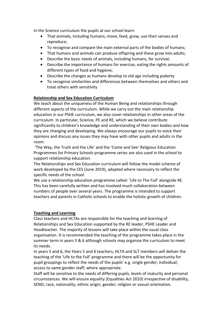In the Science curriculum the pupils at our school learn:

- That animals, including humans, move, feed, grow, use their senses and reproduce;
- To recognise and compare the main external parts of the bodies of humans;
- That humans and animals can produce offspring and these grow into adults;
- Describe the basic needs of animals, including humans, for survival;
- Describe the importance of humans for exercise, eating the rights amounts of different types of food and hygiene;
- Describe the changes as humans develop to old age including puberty
- To recognise similarities and differences between themselves and others and treat others with sensitivity

### **Relationship and Sex Education Curriculum**

We teach about the uniqueness of the Human Being and relationships through different aspects of the curriculum. While we carry out the main relationship education in our PSHE curriculum, we also cover relationships in other areas of the curriculum. In particular, Science, PE and RE, which we believe contribute significantly to children's knowledge and understanding of their own bodies and how they are changing and developing. We always encourage our pupils to voice their opinions and discuss any issues they may have with other pupils and adults in the room.

'The Way, the Truth and the Life' and the 'Come and See' Religious Education Programmes for Primary Schools programme series are also used in the school to support relationship education.

The Relationships and Sex Education curriculum will follow the model scheme of work developed by the CES (June 2019), adapted where necessary to reflect the specific needs of the school.

We use a relationship education programme called: 'Life to The Full' alongside RE. This has been carefully written and has involved much collaboration between numbers of people over several years. The programme is intended to support teachers and parents in Catholic schools to enable the holistic growth of children.

#### **Teaching and Learning**

Class teachers and HLTAs are responsible for the teaching and learning of Relationships and Sex Education supported by the RE leader, PSHE Leader and Headteacher. The majority of lessons will take place within the usual class organisation. It is recommended the teaching of the programme takes place in the summer term in years 5 & 6 although schools may organise the curriculum to meet its needs.

In years 5 and 6, the Years 5 and 6 teachers, HLTA and SLT members will deliver the teaching of the 'Life to the Full' programme and there will be the opportunity for pupil groupings to reflect the needs of the pupils' e.g. single gender; individual; access to same gender staff; where appropriate.

Staff will be sensitive to the needs of differing pupils, levels of maturity and personal circumstances. We will ensure equality (Equalities Act 2010) irrespective of disability, SEND; race, nationality, ethnic origin; gender; religion or sexual orientation.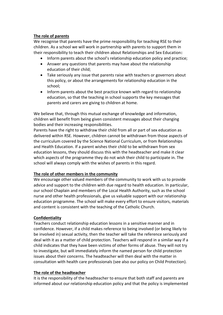#### **The role of parents**

We recognise that parents have the prime responsibility for teaching RSE to their children. As a school we will work in partnership with parents to support them in their responsibility to teach their children about Relationships and Sex Education**:**

- Inform parents about the school's relationship education policy and practice;
- Answer any questions that parents may have about the relationship education of their child;
- Take seriously any issue that parents raise with teachers or governors about this policy, or about the arrangements for relationship education in the school;
- Inform parents about the best practice known with regard to relationship education, so that the teaching in school supports the key messages that parents and carers are giving to children at home.

We believe that, through this mutual exchange of knowledge and information, children will benefit from being given consistent messages about their changing bodies and their increasing responsibilities.

Parents have the right to withdraw their child from all or part of sex education as delivered within RSE. However, children cannot be withdrawn from those aspects of the curriculum covered by the Science National Curriculum, or from Relationships and Health Education. If a parent wishes their child to be withdrawn from sex education lessons, they should discuss this with the headteacher and make it clear which aspects of the programme they do not wish their child to participate in. The school will always comply with the wishes of parents in this regard.

#### **The role of other members in the community**

We encourage other valued members of the community to work with us to provide advice and support to the children with due regard to health education. In particular, our school Chaplain and members of the Local Health Authority, such as the school nurse and other health professionals, give us valuable support with our relationship education programme. The school will make every effort to ensure visitors, materials and content is consistent with the teaching of the Catholic Church.

## **Confidentiality**

Teachers conduct relationship education lessons in a sensitive manner and in confidence. However, if a child makes reference to being involved (or being likely to be involved in) sexual activity, then the teacher will take the reference seriously and deal with it as a matter of child protection. Teachers will respond in a similar way if a child indicates that they have been victims of other forms of abuse. They will not try to investigate, but will immediately inform the named person for child protection issues about their concerns. The headteacher will then deal with the matter in consultation with health care professionals (see also our policy on Child Protection).

#### **The role of the headteacher**

It is the responsibility of the headteacher to ensure that both staff and parents are informed about our relationship education policy and that the policy is implemented